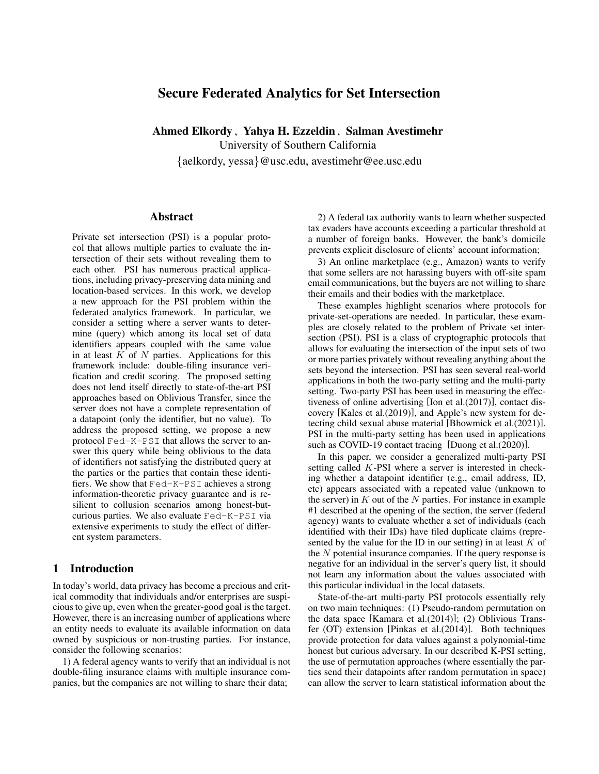# Secure Federated Analytics for Set Intersection

Ahmed Elkordy , Yahya H. Ezzeldin , Salman Avestimehr

University of Southern California {aelkordy, yessa}@usc.edu, avestimehr@ee.usc.edu

### Abstract

Private set intersection (PSI) is a popular protocol that allows multiple parties to evaluate the intersection of their sets without revealing them to each other. PSI has numerous practical applications, including privacy-preserving data mining and location-based services. In this work, we develop a new approach for the PSI problem within the federated analytics framework. In particular, we consider a setting where a server wants to determine (query) which among its local set of data identifiers appears coupled with the same value in at least  $\hat{K}$  of  $N$  parties. Applications for this framework include: double-filing insurance verification and credit scoring. The proposed setting does not lend itself directly to state-of-the-art PSI approaches based on Oblivious Transfer, since the server does not have a complete representation of a datapoint (only the identifier, but no value). To address the proposed setting, we propose a new protocol Fed-K-PSI that allows the server to answer this query while being oblivious to the data of identifiers not satisfying the distributed query at the parties or the parties that contain these identifiers. We show that Fed-K-PSI achieves a strong information-theoretic privacy guarantee and is resilient to collusion scenarios among honest-butcurious parties. We also evaluate Fed-K-PSI via extensive experiments to study the effect of different system parameters.

# 1 Introduction

In today's world, data privacy has become a precious and critical commodity that individuals and/or enterprises are suspicious to give up, even when the greater-good goal is the target. However, there is an increasing number of applications where an entity needs to evaluate its available information on data owned by suspicious or non-trusting parties. For instance, consider the following scenarios:

1) A federal agency wants to verify that an individual is not double-filing insurance claims with multiple insurance companies, but the companies are not willing to share their data;

2) A federal tax authority wants to learn whether suspected tax evaders have accounts exceeding a particular threshold at a number of foreign banks. However, the bank's domicile prevents explicit disclosure of clients' account information;

3) An online marketplace (e.g., Amazon) wants to verify that some sellers are not harassing buyers with off-site spam email communications, but the buyers are not willing to share their emails and their bodies with the marketplace.

These examples highlight scenarios where protocols for private-set-operations are needed. In particular, these examples are closely related to the problem of Private set intersection (PSI). PSI is a class of cryptographic protocols that allows for evaluating the intersection of the input sets of two or more parties privately without revealing anything about the sets beyond the intersection. PSI has seen several real-world applications in both the two-party setting and the multi-party setting. Two-party PSI has been used in measuring the effectiveness of online advertising [\[Ion et al.\(2017\)\]](#page-6-0), contact discovery [\[Kales et al.\(2019\)\]](#page-6-1), and Apple's new system for detecting child sexual abuse material [\[Bhowmick et al.\(2021\)\]](#page-6-2). PSI in the multi-party setting has been used in applications such as COVID-19 contact tracing [\[Duong et al.\(2020\)\]](#page-6-3).

In this paper, we consider a generalized multi-party PSI setting called K-PSI where a server is interested in checking whether a datapoint identifier (e.g., email address, ID, etc) appears associated with a repeated value (unknown to the server) in  $K$  out of the  $N$  parties. For instance in example #1 described at the opening of the section, the server (federal agency) wants to evaluate whether a set of individuals (each identified with their IDs) have filed duplicate claims (represented by the value for the ID in our setting) in at least  $K$  of the  $N$  potential insurance companies. If the query response is negative for an individual in the server's query list, it should not learn any information about the values associated with this particular individual in the local datasets.

State-of-the-art multi-party PSI protocols essentially rely on two main techniques: (1) Pseudo-random permutation on the data space [\[Kamara et al.\(2014\)\]](#page-6-4); (2) Oblivious Transfer (OT) extension [\[Pinkas et al.\(2014\)\]](#page-6-5). Both techniques provide protection for data values against a polynomial-time honest but curious adversary. In our described K-PSI setting, the use of permutation approaches (where essentially the parties send their datapoints after random permutation in space) can allow the server to learn statistical information about the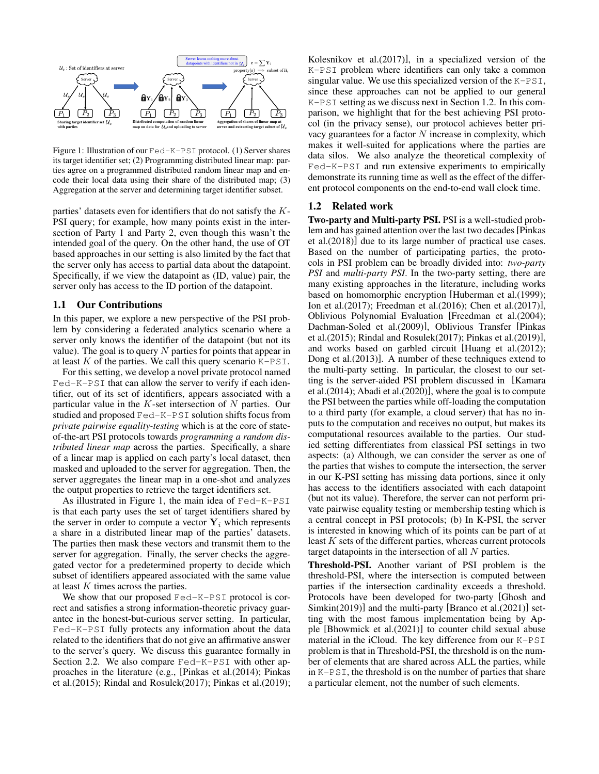<span id="page-1-0"></span>

Figure 1: Illustration of our Fed-K-PSI protocol. (1) Server shares its target identifier set; (2) Programming distributed linear map: parties agree on a programmed distributed random linear map and encode their local data using their share of the distributed map; (3) Aggregation at the server and determining target identifier subset.

parties' datasets even for identifiers that do not satisfy the K-PSI query; for example, how many points exist in the intersection of Party 1 and Party 2, even though this wasn't the intended goal of the query. On the other hand, the use of OT based approaches in our setting is also limited by the fact that the server only has access to partial data about the datapoint. Specifically, if we view the datapoint as (ID, value) pair, the server only has access to the ID portion of the datapoint.

# 1.1 Our Contributions

In this paper, we explore a new perspective of the PSI problem by considering a federated analytics scenario where a server only knows the identifier of the datapoint (but not its value). The goal is to query  $N$  parties for points that appear in at least  $K$  of the parties. We call this query scenario  $K-PST$ .

For this setting, we develop a novel private protocol named Fed-K-PSI that can allow the server to verify if each identifier, out of its set of identifiers, appears associated with a particular value in the  $K$ -set intersection of  $N$  parties. Our studied and proposed Fed-K-PSI solution shifts focus from *private pairwise equality-testing* which is at the core of stateof-the-art PSI protocols towards *programming a random distributed linear map* across the parties. Specifically, a share of a linear map is applied on each party's local dataset, then masked and uploaded to the server for aggregation. Then, the server aggregates the linear map in a one-shot and analyzes the output properties to retrieve the target identifiers set.

As illustrated in Figure [1,](#page-1-0) the main idea of Fed-K-PSI is that each party uses the set of target identifiers shared by the server in order to compute a vector  $Y_i$  which represents a share in a distributed linear map of the parties' datasets. The parties then mask these vectors and transmit them to the server for aggregation. Finally, the server checks the aggregated vector for a predetermined property to decide which subset of identifiers appeared associated with the same value at least  $K$  times across the parties.

We show that our proposed Fed-K-PSI protocol is correct and satisfies a strong information-theoretic privacy guarantee in the honest-but-curious server setting. In particular, Fed-K-PSI fully protects any information about the data related to the identifiers that do not give an affirmative answer to the server's query. We discuss this guarantee formally in Section [2.2.](#page-2-0) We also compare Fed-K-PSI with other approaches in the literature (e.g., [\[Pinkas et al.\(2014\);](#page-6-5) [Pinkas](#page-6-6) [et al.\(2015\);](#page-6-6) [Rindal and Rosulek\(2017\);](#page-7-0) [Pinkas et al.\(2019\);](#page-6-7) [Kolesnikov et al.\(2017\)\]](#page-6-8), in a specialized version of the K-PSI problem where identifiers can only take a common singular value. We use this specialized version of the K-PSI, since these approaches can not be applied to our general K-PSI setting as we discuss next in Section [1.2.](#page-1-1) In this comparison, we highlight that for the best achieving PSI protocol (in the privacy sense), our protocol achieves better privacy guarantees for a factor  $N$  increase in complexity, which makes it well-suited for applications where the parties are data silos. We also analyze the theoretical complexity of Fed-K-PSI and run extensive experiments to empirically demonstrate its running time as well as the effect of the different protocol components on the end-to-end wall clock time.

#### <span id="page-1-1"></span>1.2 Related work

Two-party and Multi-party PSI. PSI is a well-studied problem and has gained attention over the last two decades[\[Pinkas](#page-6-9) [et al.\(2018\)\]](#page-6-9) due to its large number of practical use cases. Based on the number of participating parties, the protocols in PSI problem can be broadly divided into: *two-party PSI* and *multi-party PSI*. In the two-party setting, there are many existing approaches in the literature, including works based on homomorphic encryption [\[Huberman et al.\(1999\);](#page-6-10) [Ion et al.\(2017\);](#page-6-0) [Freedman et al.\(2016\);](#page-6-11) [Chen et al.\(2017\)\]](#page-6-12), Oblivious Polynomial Evaluation [\[Freedman et al.\(2004\);](#page-6-13) [Dachman-Soled et al.\(2009\)\]](#page-6-14), Oblivious Transfer [\[Pinkas](#page-6-6) [et al.\(2015\);](#page-6-6) [Rindal and Rosulek\(2017\);](#page-7-0) [Pinkas et al.\(2019\)\]](#page-6-7), and works based on garbled circuit [\[Huang et al.\(2012\);](#page-6-15) [Dong et al.\(2013\)\]](#page-6-16). A number of these techniques extend to the multi-party setting. In particular, the closest to our setting is the server-aided PSI problem discussed in [\[Kamara](#page-6-4) [et al.\(2014\);](#page-6-4) [Abadi et al.\(2020\)\]](#page-6-17), where the goal is to compute the PSI between the parties while off-loading the computation to a third party (for example, a cloud server) that has no inputs to the computation and receives no output, but makes its computational resources available to the parties. Our studied setting differentiates from classical PSI settings in two aspects: (a) Although, we can consider the server as one of the parties that wishes to compute the intersection, the server in our K-PSI setting has missing data portions, since it only has access to the identifiers associated with each datapoint (but not its value). Therefore, the server can not perform private pairwise equality testing or membership testing which is a central concept in PSI protocols; (b) In K-PSI, the server is interested in knowing which of its points can be part of at least  $K$  sets of the different parties, whereas current protocols target datapoints in the intersection of all N parties.

Threshold-PSI. Another variant of PSI problem is the threshold-PSI, where the intersection is computed between parties if the intersection cardinality exceeds a threshold. Protocols have been developed for two-party [\[Ghosh and](#page-6-18) [Simkin\(2019\)\]](#page-6-18) and the multi-party [\[Branco et al.\(2021\)\]](#page-6-19) setting with the most famous implementation being by Apple [\[Bhowmick et al.\(2021\)\]](#page-6-2) to counter child sexual abuse material in the iCloud. The key difference from our K-PSI problem is that in Threshold-PSI, the threshold is on the number of elements that are shared across ALL the parties, while in K-PSI, the threshold is on the number of parties that share a particular element, not the number of such elements.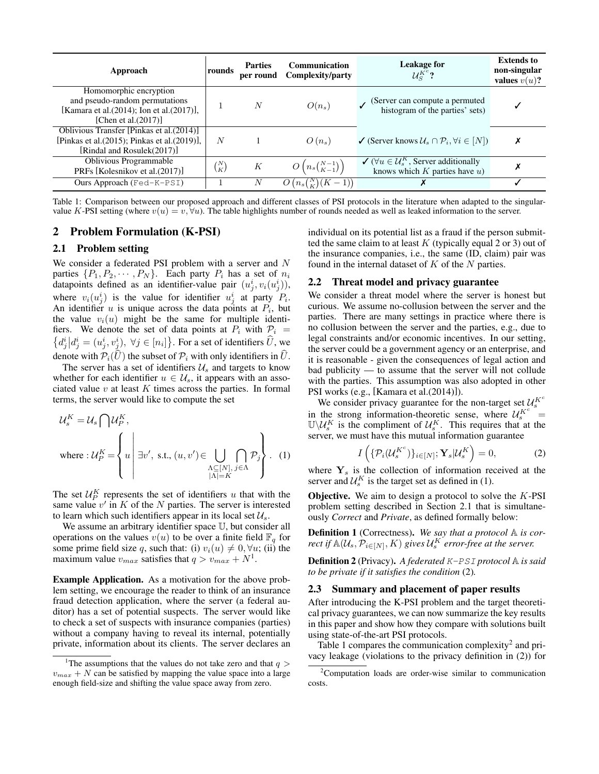<span id="page-2-5"></span>

| Approach                                                                                                                        | rounds         | <b>Parties</b><br>per round | Communication<br>Complexity/party | <b>Leakage for</b><br>$\mathcal{U}_S^{K^c}$ ?                                                                          | <b>Extends to</b><br>non-singular<br>values $v(u)$ ? |
|---------------------------------------------------------------------------------------------------------------------------------|----------------|-----------------------------|-----------------------------------|------------------------------------------------------------------------------------------------------------------------|------------------------------------------------------|
| Homomorphic encryption<br>and pseudo-random permutations<br>[Kamara et al.(2014); Ion et al.(2017)],<br>[Chen et al. $(2017)$ ] |                | $\boldsymbol{N}$            | $O(n_s)$                          | (Server can compute a permuted<br>histogram of the parties' sets)                                                      |                                                      |
| Oblivious Transfer [Pinkas et al.(2014)]<br>[Pinkas et al. $(2015)$ ; Pinkas et al. $(2019)$ ],<br>[Rindal and Rosulek(2017)]   | N              |                             | $O(n_s)$                          | $\checkmark$ (Server knows $\mathcal{U}_s \cap \mathcal{P}_i, \forall i \in [N]$ )                                     | Х                                                    |
| <b>Oblivious Programmable</b><br>PRFs [Kolesnikov et al.(2017)]                                                                 | $\binom{N}{K}$ | K                           | $O(n_s\binom{N-1}{K-1})$          | $\checkmark$ ( $\forall u \in \mathcal{U}_{\mathcal{S}}^K$ , Server additionally<br>knows which $K$ parties have $u$ ) | Х                                                    |
| Ours Approach $(Fed-K-PSI)$                                                                                                     |                | N                           | $O(n_s\binom{N}{K}(K-1))$         |                                                                                                                        |                                                      |

Table 1: Comparison between our proposed approach and different classes of PSI protocols in the literature when adapted to the singularvalue K-PSI setting (where  $v(u) = v, \forall u$ ). The table highlights number of rounds needed as well as leaked information to the server.

### 2 Problem Formulation (K-PSI)

#### <span id="page-2-3"></span>2.1 Problem setting

We consider a federated PSI problem with a server and N parties  $\{P_1, P_2, \cdots, P_N\}$ . Each party  $P_i$  has a set of  $n_i$ datapoints defined as an identifier-value pair  $(u_j^i, v_i(u_j^i))$ , where  $v_i(u_j^i)$  is the value for identifier  $u_j^i$  at party  $P_i$ . An identifier  $u$  is unique across the data points at  $P_i$ , but the value  $v_i(u)$  might be the same for multiple identifiers. We denote the set of data points at  $P_i$  with  $P_i$  =  $\{d_j^i | d_j^i = (u_j^i, v_j^i), \forall j \in [n_i]\}.$  For a set of identifiers  $\hat{U}$ , we denote with  $P_i(\hat{U})$  the subset of  $P_i$  with only identifiers in  $\hat{U}$ .

The server has a set of identifiers  $\mathcal{U}_s$  and targets to know whether for each identifier  $u \in \mathcal{U}_s$ , it appears with an associated value  $v$  at least  $K$  times across the parties. In formal terms, the server would like to compute the set

$$
\mathcal{U}_{s}^{K} = \mathcal{U}_{s} \cap \mathcal{U}_{P}^{K},
$$
  
where: 
$$
\mathcal{U}_{P}^{K} = \left\{ u \mid \exists v', \text{ s.t., } (u, v') \in \bigcup_{\substack{\Lambda \subseteq [N], j \in \Lambda \\ |\Lambda| = K}} \bigcap_{j \in \Lambda} \mathcal{P}_{j} \right\}.
$$
 (1)

The set  $\mathcal{U}_P^K$  represents the set of identifiers u that with the same value  $v'$  in  $K$  of the  $N$  parties. The server is interested to learn which such identifiers appear in its local set  $\mathcal{U}_s$ .

We assume an arbitrary identifier space U, but consider all operations on the values  $v(u)$  to be over a finite field  $\mathbb{F}_q$  for some prime field size q, such that: (i)  $v_i(u) \neq 0, \forall u$ ; (ii) the maximum value  $v_{max}$  satisfies that  $q > v_{max} + N^1$  $q > v_{max} + N^1$ .

Example Application. As a motivation for the above problem setting, we encourage the reader to think of an insurance fraud detection application, where the server (a federal auditor) has a set of potential suspects. The server would like to check a set of suspects with insurance companies (parties) without a company having to reveal its internal, potentially private, information about its clients. The server declares an individual on its potential list as a fraud if the person submitted the same claim to at least  $K$  (typically equal 2 or 3) out of the insurance companies, i.e., the same (ID, claim) pair was found in the internal dataset of  $K$  of the  $N$  parties.

#### <span id="page-2-0"></span>2.2 Threat model and privacy guarantee

We consider a threat model where the server is honest but curious. We assume no-collusion between the server and the parties. There are many settings in practice where there is no collusion between the server and the parties, e.g., due to legal constraints and/or economic incentives. In our setting, the server could be a government agency or an enterprise, and it is reasonable - given the consequences of legal action and bad publicity — to assume that the server will not collude with the parties. This assumption was also adopted in other PSI works (e.g., [\[Kamara et al.\(2014\)\]](#page-6-4)).

We consider privacy guarantee for the non-target set  $\mathcal{U}_s^{K^c}$ in the strong information-theoretic sense, where  $U_s^{K^c}$  =  $\mathbb{U}\backslash \mathcal{U}_s^K$  is the compliment of  $\mathcal{U}_s^K$ . This requires that at the server, we must have this mutual information guarantee

<span id="page-2-4"></span>
$$
I\left(\{\mathcal{P}_i(\mathcal{U}_s^{K^c})\}_{i\in[N]}; \mathbf{Y}_s|\mathcal{U}_s^K\right) = 0,\tag{2}
$$

<span id="page-2-2"></span>where  $Y_s$  is the collection of information received at the server and  $\mathcal{U}_s^K$  is the target set as defined in [\(1\)](#page-2-2).

**Objective.** We aim to design a protocol to solve the  $K$ -PSI problem setting described in Section [2.1](#page-2-3) that is simultaneously *Correct* and *Private*, as defined formally below:

Definition 1 (Correctness). *We say that a protocol* A *is correct if*  $\mathbb{A}(\mathcal{U}_s, \mathcal{P}_{i \in [N]}, K)$  gives  $\mathcal{U}_s^K$  error-free at the server.

Definition 2 (Privacy). *A federated* K-PSI *protocol* A *is said to be private if it satisfies the condition* [\(2\)](#page-2-4)*.*

#### 2.3 Summary and placement of paper results

After introducing the K-PSI problem and the target theoretical privacy guarantees, we can now summarize the key results in this paper and show how they compare with solutions built using state-of-the-art PSI protocols.

Table [1](#page-2-5) compares the communication complexity<sup>[2](#page-2-6)</sup> and privacy leakage (violations to the privacy definition in [\(2\)](#page-2-4)) for

<span id="page-2-1"></span><sup>&</sup>lt;sup>1</sup>The assumptions that the values do not take zero and that  $q >$  $v_{max} + N$  can be satisfied by mapping the value space into a large enough field-size and shifting the value space away from zero.

<span id="page-2-6"></span><sup>2</sup>Computation loads are order-wise similar to communication costs.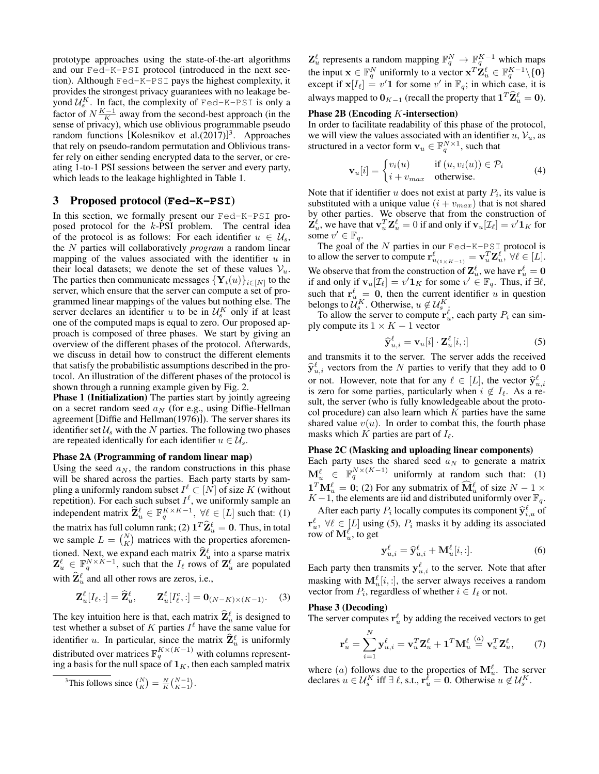prototype approaches using the state-of-the-art algorithms and our Fed-K-PSI protocol (introduced in the next section). Although Fed-K-PSI pays the highest complexity, it provides the strongest privacy guarantees with no leakage beyond  $\mathcal{U}_{s}^{K}$ . In fact, the complexity of Fed-K-PSI is only a factor of  $N\frac{K-1}{K}$  away from the second-best approach (in the sense of privacy), which use oblivious programmable pseudo random functions [\[Kolesnikov et al.\(2017\)\]](#page-6-8) [3](#page-3-0) . Approaches that rely on pseudo-random permutation and Oblivious transfer rely on either sending encrypted data to the server, or creating 1-to-1 PSI sessions between the server and every party, which leads to the leakage highlighted in Table [1.](#page-2-5)

# <span id="page-3-2"></span>3 Proposed protocol (**Fed-K-PSI**)

In this section, we formally present our Fed-K-PSI proposed protocol for the k-PSI problem. The central idea of the protocol is as follows: For each identifier  $u \in \mathcal{U}_s$ , the N parties will collaboratively *program* a random linear mapping of the values associated with the identifier  $u$  in their local datasets; we denote the set of these values  $V_u$ . The parties then communicate messages  $\{Y_i(u)\}_{i\in[N]}$  to the server, which ensure that the server can compute a set of programmed linear mappings of the values but nothing else. The server declares an identifier u to be in  $\mathcal{U}_{s}^{K}$  only if at least one of the computed maps is equal to zero. Our proposed approach is composed of three phases. We start by giving an overview of the different phases of the protocol. Afterwards, we discuss in detail how to construct the different elements that satisfy the probabilistic assumptions described in the protocol. An illustration of the different phases of the protocol is shown through a running example given by Fig. [2.](#page-4-0)

Phase 1 (Initialization) The parties start by jointly agreeing on a secret random seed  $a_N$  (for e.g., using Diffie-Hellman agreement [\[Diffie and Hellman\(1976\)\]](#page-6-20)). The server shares its identifier set  $\mathcal{U}_s$  with the N parties. The following two phases are repeated identically for each identifier  $u \in \mathcal{U}_s$ .

#### Phase 2A (Programming of random linear map)

Using the seed  $a_N$ , the random constructions in this phase will be shared across the parties. Each party starts by sampling a uniformly random subset  $I^{\ell} \subset [N]$  of size K (without repetition). For each such subset  $I^{\ell}$ , we uniformly sample an independent matrix  $\hat{\mathbf{Z}}_u^{\ell} \in \mathbb{F}_q^{K \times K-1}, \forall \ell \in [L]$  such that: (1) the matrix has full column rank; (2)  $\mathbf{1}^T \widehat{\mathbf{Z}}_u^{\ell} = \mathbf{0}$ . Thus, in total we sample  $L = \binom{N}{K}$  matrices with the properties aforementioned. Next, we expand each matrix  $\hat{\mathbf{Z}}_k^{\ell}$  into a sparse matrix  $\hat{\mathbf{Z}}_k^{\ell}$  into a sparse matrix  $\mathbf{Z}_u^{\ell} \in \mathbb{F}_q^{N \times K-1}$ , such that the  $I_{\ell}$  rows of  $\mathbf{Z}_u^{\ell}$  are populated with  $\hat{\mathbf{Z}}_u^{\ell}$  and all other rows are zeros, i.e.,

$$
\mathbf{Z}_{u}^{\ell}[I_{\ell},:] = \widehat{\mathbf{Z}}_{u}^{\ell}, \qquad \mathbf{Z}_{u}^{\ell}[I_{\ell}^{c},:] = \mathbf{0}_{(N-K)\times(K-1)}.\tag{3}
$$

The key intuition here is that, each matrix  $\hat{\mathbf{Z}}_k^{\ell}$  is designed to that what here when the form test whether a subset of K parties  $I^{\ell}$  have the same value for identifier u. In particular, since the matrix  $\hat{\mathbf{Z}}_u^{\ell}$  is uniformly distributed over matrices  $\mathbb{F}_q^{K \times (K-1)}$  with columns representing a basis for the null space of  $\mathbf{1}_K$ , then each sampled matrix  $\mathbf{Z}_{u}^{\ell}$  represents a random mapping  $\mathbb{F}_{q}^{N} \to \mathbb{F}_{q}^{K-1}$  which maps the input  $\mathbf{x} \in \mathbb{F}_q^N$  uniformly to a vector  $\mathbf{x}^T \mathbf{Z}_u^{\ell} \in \mathbb{F}_q^{K-1} \setminus \{0\}$ except if  $\mathbf{x}[I_\ell] = v' \mathbf{1}$  for some  $v'$  in  $\mathbb{F}_q$ ; in which case, it is always mapped to  $\mathbf{0}_{K-1}$  (recall the property that  $\mathbf{1}^T \widehat{\mathbf{Z}}_u^{\ell} = \mathbf{0}$ ).

#### Phase 2B (Encoding K-intersection)

In order to facilitate readability of this phase of the protocol, we will view the values associated with an identifier  $u, V_u$ , as structured in a vector form  $\mathbf{v}_u \in \mathbb{F}_q^{N \times 1}$ , such that

$$
\mathbf{v}_{u}[i] = \begin{cases} v_i(u) & \text{if } (u, v_i(u)) \in \mathcal{P}_i \\ i + v_{max} & \text{otherwise.} \end{cases}
$$
 (4)

Note that if identifier  $u$  does not exist at party  $P_i$ , its value is substituted with a unique value  $(i + v_{max})$  that is not shared by other parties. We observe that from the construction of  $\mathbf{Z}_u^{\ell}$ , we have that  $\mathbf{v}_u^T \mathbf{Z}_u^{\ell} = 0$  if and only if  $\mathbf{v}_u[\mathcal{I}_{\ell}] = v' \mathbf{1}_K$  for some  $v' \in \mathbb{F}_q$ .

The goal of the  $N$  parties in our Fed-K-PSI protocol is to allow the server to compute  $\mathbf{r}^{\ell}_{u_{(1\times K-1)}} = \mathbf{v}^T_u \mathbf{Z}^{\ell}_u$ ,  $\forall \ell \in [L]$ . We observe that from the construction of  $\mathbf{Z}_u^{\ell}$  , we have  $\mathbf{r}_u^{\ell} = \mathbf{0}$ if and only if  $\mathbf{v}_u[\mathcal{I}_\ell] = v' \mathbf{1}_K$  for some  $v' \in \mathbb{F}_q$ . Thus, if  $\exists \ell$ , such that  $\mathbf{r}_{u}^{\ell} = \mathbf{0}$ , then the current identifier u in question belongs to  $\mathcal{U}_{s}^{K}$ . Otherwise,  $u \notin \mathcal{U}_{s}^{K}$ .

To allow the server to compute  $\mathbf{r}_u^{\ell}$ , each party  $P_i$  can simply compute its  $1 \times K - 1$  vector

<span id="page-3-1"></span>
$$
\widehat{\mathbf{y}}_{u,i}^{\ell} = \mathbf{v}_u[i] \cdot \mathbf{Z}_u^{\ell}[i, :] \tag{5}
$$

and transmits it to the server. The server adds the received  $\hat{\mathbf{y}}_{u,i}^{\ell}$  vectors from the N parties to verify that they add to 0 or not. However, note that for any  $\ell \in [L]$ , the vector  $\hat{\mathbf{y}}_{u,i}^{\ell}$  is zero for some parties, particularly when  $i \notin L_0$ . As a reis zero for some parties, particularly when  $i \notin I_{\ell}$ . As a result, the server (who is fully knowledgeable about the protocol procedure) can also learn which  $K$  parties have the same shared value  $v(u)$ . In order to combat this, the fourth phase masks which K parties are part of  $I_{\ell}$ .

#### Phase 2C (Masking and uploading linear components)

Each party uses the shared seed  $a_N$  to generate a matrix  $\mathbf{M}_u^{\ell} \in \mathbb{F}_q^{N \times (K-1)}$  uniformly at random such that: (1)  $\mathbf{1}^T \mathbf{M}_{u}^{\ell} = \mathbf{0}$ ; (2) For any submatrix of  $\widehat{\mathbf{M}}_{u}^{\ell}$  of size  $N - 1 \times$  $K-1$ , the elements are iid and distributed uniformly over  $\mathbb{F}_q$ .

After each party  $P_i$  locally computes its component  $\hat{\mathbf{y}}_{i,u}^{\ell}$  of  $\mathbf{r}_u^{\ell}$ ,  $\forall \ell \in [L]$  using [\(5\)](#page-3-1),  $P_i$  masks it by adding its associated row of  $\mathbf{M}^{\ell}_{u}$ , to get

$$
\mathbf{y}_{u,i}^{\ell} = \widehat{\mathbf{y}}_{u,i}^{\ell} + \mathbf{M}_{u}^{\ell}[i, :].
$$
 (6)

Each party then transmits  $y_{u,i}^{\ell}$  to the server. Note that after masking with  $M_u^{\ell}[i,:]$ , the server always receives a random vector from  $P_i$ , regardless of whether  $i \in I_\ell$  or not.

### Phase 3 (Decoding)

The server computes  $\mathbf{r}_u^{\ell}$  by adding the received vectors to get

$$
\mathbf{r}_u^{\ell} = \sum_{i=1}^N \mathbf{y}_{u,i}^{\ell} = \mathbf{v}_u^T \mathbf{Z}_u^{\ell} + \mathbf{1}^T \mathbf{M}_u^{\ell} \stackrel{(a)}{=} \mathbf{v}_u^T \mathbf{Z}_u^{\ell}, \qquad (7)
$$

where (*a*) follows due to the properties of  $\mathbf{M}_{u}^{\ell}$ . The server declares  $u \in \mathcal{U}_s^K$  iff  $\exists \ell$ , s.t.,  $\mathbf{r}_u^{\overline{\ell}} = \mathbf{0}$ . Otherwise  $u \notin \mathcal{U}_s^K$ .

<span id="page-3-0"></span><sup>&</sup>lt;sup>3</sup>This follows since  $\binom{N}{K} = \frac{N}{K} \binom{N-1}{K-1}$ .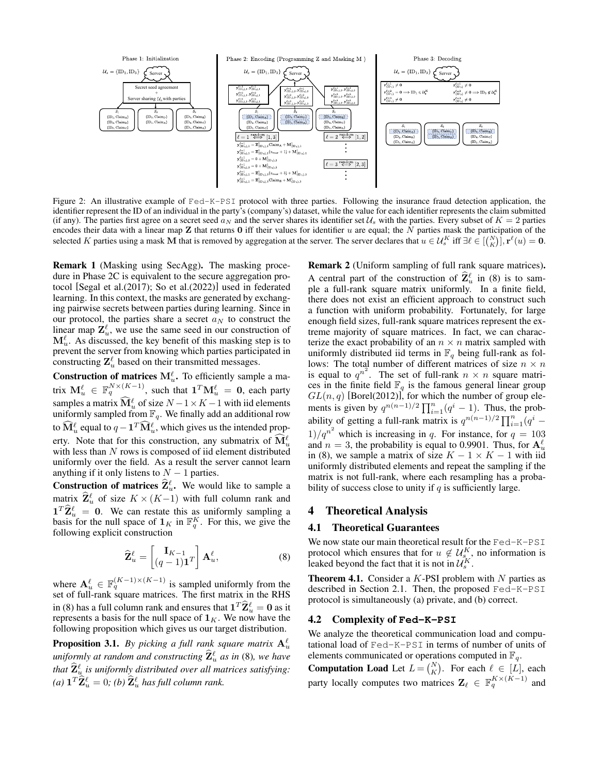<span id="page-4-0"></span>

Figure 2: An illustrative example of Fed-K-PSI protocol with three parties. Following the insurance fraud detection application, the identifier represent the ID of an individual in the party's (company's) dataset, while the value for each identifier represents the claim submitted (if any). The parties first agree on a secret seed  $a_N$  and the server shares its identifier set  $\mathcal{U}_s$  with the parties. Every subset of  $K = 2$  parties encodes their data with a linear map Z that returns 0 iff their values for identifier u are equal; the  $\overline{N}$  parties mask the participation of the selected K parties using a mask M that is removed by aggregation at the server. The server declares that  $u \in \mathcal{U}_s^K$  iff  $\exists \ell \in [{N \choose K}]$ ,  $\mathbf{r}^{\ell}(u) = \mathbf{0}$ .

<span id="page-4-2"></span>Remark 1 (Masking using SecAgg). The masking procedure in Phase 2C is equivalent to the secure aggregation protocol [\[Segal et al.\(2017\);](#page-7-1) [So et al.\(2022\)\]](#page-7-2) used in federated learning. In this context, the masks are generated by exchanging pairwise secrets between parties during learning. Since in our protocol, the parties share a secret  $a_N$  to construct the linear map  $\mathbf{Z}_{u}^{\ell}$ , we use the same seed in our construction of  $\mathbf{M}_{u}^{\ell}$ . As discussed, the key benefit of this masking step is to prevent the server from knowing which parties participated in constructing  $\mathbf{Z}_{u}^{\ell}$  based on their transmitted messages.

**Construction of matrices**  $M_u^{\ell}$ . To efficiently sample a matrix  $\mathbf{M}_u^{\ell} \in \mathbb{F}_q^{N \times (K-1)}$ , such that  $\mathbf{1}^T \mathbf{M}_u^{\ell} = \mathbf{0}$ , each party samples a matrix  $\widehat{\mathbf{M}}_u^{\ell}$  of size  $N-1\times K-1$  with iid elements uniformly sampled from  $\mathbb{F}_q$ . We finally add an additional row to  $\widehat{\mathbf{M}}_u^{\ell}$  equal to  $q - \mathbf{1}^T \widehat{\mathbf{M}}_u^{\ell}$ , which gives us the intended property. Note that for this construction, any submatrix of  $\widehat{\mathbf{M}}_{\mu}^{\ell}$ with less than  $N$  rows is composed of iid element distributed uniformly over the field. As a result the server cannot learn anything if it only listens to  $N - 1$  parties.

**Construction of matrices**  $\hat{\mathbf{Z}}_u^{\ell}$ **.** We would like to sample a matrix  $\hat{\mathbf{Z}}_u^{\ell}$  of size  $K \times (K-1)$  with full column rank and  $\mathbf{1}^T \widehat{\mathbf{Z}}_u^{\ell} = \mathbf{0}$ . We can restate this as uniformly sampling a basis for the null space of  $\mathbf{1}_K$  in  $\mathbb{F}_q^K$ . For this, we give the following explicit construction

$$
\widehat{\mathbf{Z}}_u^{\ell} = \begin{bmatrix} \mathbf{I}_{K-1} \\ (q-1)\mathbf{1}^T \end{bmatrix} \mathbf{A}_u^{\ell}, \tag{8}
$$

where  $\mathbf{A}_{u}^{\ell} \in \mathbb{F}_{q}^{(K-1)\times(K-1)}$  is sampled uniformly from the set of full-rank square matrices. The first matrix in the RHS in [\(8\)](#page-4-1) has a full column rank and ensures that  $\mathbf{1}^T \hat{\mathbf{Z}}_u^{\ell} = \mathbf{0}$  as it represents a basis for the null space of  $\mathbf{1}_K$ . We now have the following proposition which gives us our target distribution.

**Proposition 3.1.** By picking a full rank square matrix  $A_u^{\ell}$ *uniformly at random and constructing*  $\hat{\mathbf{Z}}_u^{\ell}$  *as in* [\(8\)](#page-4-1)*, we have that*  $\hat{\mathbf{Z}}_u^{\ell}$  is uniformly distributed over all matrices satisfying:  $(a)$   $\mathbf{1}^T \widehat{\mathbf{Z}}_u^{\ell} = 0$ ;  $(b)$   $\widehat{\mathbf{Z}}_u^{\ell}$  has full column rank.

<span id="page-4-3"></span>Remark 2 (Uniform sampling of full rank square matrices). A central part of the construction of  $\hat{\mathbf{Z}}_u^{\ell}$  in [\(8\)](#page-4-1) is to sample a full-rank square matrix uniformly. In a finite field, there does not exist an efficient approach to construct such a function with uniform probability. Fortunately, for large enough field sizes, full-rank square matrices represent the extreme majority of square matrices. In fact, we can characterize the exact probability of an  $n \times n$  matrix sampled with uniformly distributed iid terms in  $\mathbb{F}_q$  being full-rank as follows: The total number of different matrices of size  $n \times n$ is equal to  $q^{n^2}$ . The set of full-rank  $n \times n$  square matrices in the finite field  $\mathbb{F}_q$  is the famous general linear group  $GL(n, q)$  [\[Borel\(2012\)\]](#page-6-21), for which the number of group elements is given by  $q^{n(n-1)/2} \prod_{i=1}^n (q^i - 1)$ . Thus, the probability of getting a full-rank matrix is  $q^{n(n-1)/2} \prod_{i=1}^{n} (q^i 1/q^{n^2}$  which is increasing in q. For instance, for  $q = 103$ and  $n = 3$ , the probability is equal to 0.9901. Thus, for  $\mathbf{A}_{u}^{\ell}$ in [\(8\)](#page-4-1), we sample a matrix of size  $K - 1 \times K - 1$  with iid uniformly distributed elements and repeat the sampling if the matrix is not full-rank, where each resampling has a probability of success close to unity if  $q$  is sufficiently large.

# 4 Theoretical Analysis

# 4.1 Theoretical Guarantees

<span id="page-4-1"></span>We now state our main theoretical result for the Fed-K-PSI protocol which ensures that for  $u \notin \mathcal{U}_{s_{r}}^{K}$ , no information is leaked beyond the fact that it is not in  $\mathcal{U}_{s}^{K}$ .

**Theorem 4.1.** Consider a  $K$ -PSI problem with  $N$  parties as described in Section [2.1.](#page-2-3) Then, the proposed Fed-K-PSI protocol is simultaneously (a) private, and (b) correct.

### 4.2 Complexity of **Fed-K-PSI**

We analyze the theoretical communication load and computational load of Fed-K-PSI in terms of number of units of elements communicated or operations computed in  $\mathbb{F}_q$ .

**Computation Load** Let  $L = \begin{pmatrix} N \\ K \end{pmatrix}$ . For each  $\ell \in [L]$ , each party locally computes two matrices  $\mathbf{Z}_{\ell} \in \mathbb{F}_q^{K \times (K-1)}$  and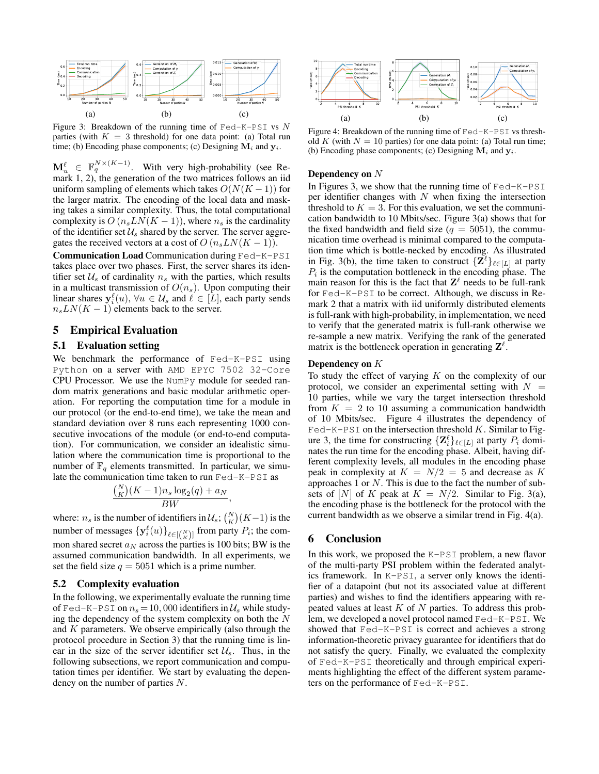<span id="page-5-0"></span>

Figure 3: Breakdown of the running time of  $\text{Fed-K-PSI}$  vs N parties (with  $K = 3$  threshold) for one data point: (a) Total run time; (b) Encoding phase components; (c) Designing  $M_i$  and  $y_i$ .

 $\mathbf{M}_u^{\ell} \in \mathbb{F}_q^{N \times (K-1)}$ . With very high-probability (see Remark [1,](#page-4-2) [2\)](#page-4-3), the generation of the two matrices follows an iid uniform sampling of elements which takes  $O(N(K-1))$  for the larger matrix. The encoding of the local data and masking takes a similar complexity. Thus, the total computational complexity is  $O(n_sLN(K-1))$ , where  $n_s$  is the cardinality of the identifier set  $\mathcal{U}_s$  shared by the server. The server aggregates the received vectors at a cost of  $O(n_sLN(K-1)).$ 

Communication Load Communication during Fed-K-PSI takes place over two phases. First, the server shares its identifier set  $U_s$  of cardinality  $n_s$  with the parties, which results in a multicast transmission of  $O(n_s)$ . Upon computing their linear shares  $y_i^{\ell}(u)$ ,  $\forall u \in \mathcal{U}_s$  and  $\ell \in [L]$ , each party sends  $n_sLN(K-1)$  elements back to the server.

# 5 Empirical Evaluation

#### 5.1 Evaluation setting

We benchmark the performance of Fed-K-PSI using Python on a server with AMD EPYC 7502 32-Core CPU Processor. We use the NumPy module for seeded random matrix generations and basic modular arithmetic operation. For reporting the computation time for a module in our protocol (or the end-to-end time), we take the mean and standard deviation over 8 runs each representing 1000 consecutive invocations of the module (or end-to-end computation). For communication, we consider an idealistic simulation where the communication time is proportional to the number of  $\mathbb{F}_q$  elements transmitted. In particular, we simulate the communication time taken to run Fed-K-PSI as

$$
\frac{\binom{N}{K}(K-1)n_s\log_2(q)+a_N}{BW}
$$

,

where:  $n_s$  is the number of identifiers in  $\mathcal{U}_s$ ;  $\binom{N}{K} (K-1)$  is the number of messages  $\{y_i^{\ell}(u)\}_{\ell \in [{N \choose K}] }$  from party  $P_i$ ; the common shared secret  $a_N$  across the parties is 100 bits; BW is the assumed communication bandwidth. In all experiments, we set the field size  $q = 5051$  which is a prime number.

### 5.2 Complexity evaluation

In the following, we experimentally evaluate the running time of Fed-K-PSI on  $n_s = 10,000$  identifiers in  $\mathcal{U}_s$  while studying the dependency of the system complexity on both the  $N$ and  $K$  parameters. We observe empirically (also through the protocol procedure in Section [3\)](#page-3-2) that the running time is linear in the size of the server identifier set  $\mathcal{U}_s$ . Thus, in the following subsections, we report communication and computation times per identifier. We start by evaluating the dependency on the number of parties N.

<span id="page-5-1"></span>

Figure 4: Breakdown of the running time of Fed-K-PSI vs threshold K (with  $N = 10$  parties) for one data point: (a) Total run time; (b) Encoding phase components; (c) Designing  $M_i$  and  $y_i$ .

#### Dependency on N

In Figures [3,](#page-5-0) we show that the running time of Fed-K-PSI per identifier changes with  $N$  when fixing the intersection threshold to  $K = 3$ . For this evaluation, we set the communication bandwidth to 10 Mbits/sec. Figure [3\(](#page-5-0)a) shows that for the fixed bandwidth and field size ( $q = 5051$ ), the communication time overhead is minimal compared to the computation time which is bottle-necked by encoding. As illustrated in Fig. [3\(](#page-5-0)b), the time taken to construct  $\{Z^{\ell}\}_{\ell \in [L]}$  at party  $P_i$  is the computation bottleneck in the encoding phase. The main reason for this is the fact that  $\mathbf{Z}^{\ell}$  needs to be full-rank for Fed-K-PSI to be correct. Although, we discuss in Remark [2](#page-4-3) that a matrix with iid uniformly distributed elements is full-rank with high-probability, in implementation, we need to verify that the generated matrix is full-rank otherwise we re-sample a new matrix. Verifying the rank of the generated matrix is the bottleneck operation in generating  $\mathbf{Z}^{\ell}$ .

### Dependency on K

To study the effect of varying  $K$  on the complexity of our protocol, we consider an experimental setting with  $N =$ 10 parties, while we vary the target intersection threshold from  $K = 2$  to 10 assuming a communication bandwidth of 10 Mbits/sec. Figure [4](#page-5-1) illustrates the dependency of  $\text{Fed}-\text{K}-\text{PSI}$  on the intersection threshold  $K$ . Similar to Fig-ure [3,](#page-5-0) the time for constructing  $\{ \mathbf{Z}_i^{\ell} \}_{\ell \in [L]}$  at party  $P_i$  dominates the run time for the encoding phase. Albeit, having different complexity levels, all modules in the encoding phase peak in complexity at  $K = N/2 = 5$  and decrease as K approaches  $1$  or  $N$ . This is due to the fact the number of subsets of [N] of K peak at  $K = N/2$ . Similar to Fig. [3\(](#page-5-0)a), the encoding phase is the bottleneck for the protocol with the current bandwidth as we observe a similar trend in Fig. [4\(](#page-5-1)a).

# 6 Conclusion

In this work, we proposed the K-PSI problem, a new flavor of the multi-party PSI problem within the federated analytics framework. In K-PSI, a server only knows the identifier of a datapoint (but not its associated value at different parties) and wishes to find the identifiers appearing with repeated values at least  $K$  of  $N$  parties. To address this problem, we developed a novel protocol named Fed-K-PSI. We showed that Fed-K-PSI is correct and achieves a strong information-theoretic privacy guarantee for identifiers that do not satisfy the query. Finally, we evaluated the complexity of Fed-K-PSI theoretically and through empirical experiments highlighting the effect of the different system parameters on the performance of Fed-K-PSI.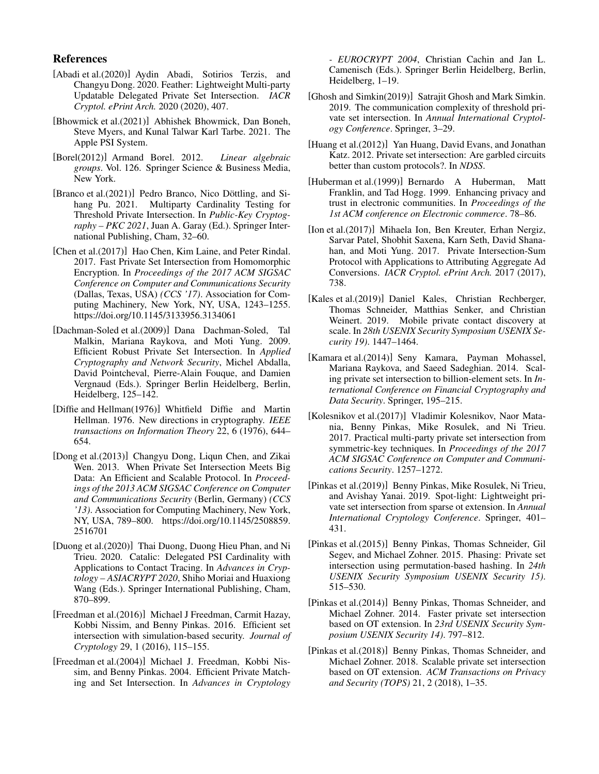# References

- <span id="page-6-17"></span>[Abadi et al.(2020)] Aydin Abadi, Sotirios Terzis, and Changyu Dong. 2020. Feather: Lightweight Multi-party Updatable Delegated Private Set Intersection. *IACR Cryptol. ePrint Arch.* 2020 (2020), 407.
- <span id="page-6-2"></span>[Bhowmick et al.(2021)] Abhishek Bhowmick, Dan Boneh, Steve Myers, and Kunal Talwar Karl Tarbe. 2021. The Apple PSI System.
- <span id="page-6-21"></span>[Borel(2012)] Armand Borel. 2012. *Linear algebraic groups*. Vol. 126. Springer Science & Business Media, New York.
- <span id="page-6-19"></span>[Branco et al.(2021)] Pedro Branco, Nico Döttling, and Sihang Pu. 2021. Multiparty Cardinality Testing for Threshold Private Intersection. In *Public-Key Cryptography – PKC 2021*, Juan A. Garay (Ed.). Springer International Publishing, Cham, 32–60.
- <span id="page-6-12"></span>[Chen et al.(2017)] Hao Chen, Kim Laine, and Peter Rindal. 2017. Fast Private Set Intersection from Homomorphic Encryption. In *Proceedings of the 2017 ACM SIGSAC Conference on Computer and Communications Security* (Dallas, Texas, USA) *(CCS '17)*. Association for Computing Machinery, New York, NY, USA, 1243–1255. <https://doi.org/10.1145/3133956.3134061>
- <span id="page-6-14"></span>[Dachman-Soled et al.(2009)] Dana Dachman-Soled, Tal Malkin, Mariana Raykova, and Moti Yung. 2009. Efficient Robust Private Set Intersection. In *Applied Cryptography and Network Security*, Michel Abdalla, David Pointcheval, Pierre-Alain Fouque, and Damien Vergnaud (Eds.). Springer Berlin Heidelberg, Berlin, Heidelberg, 125–142.
- <span id="page-6-20"></span>[Diffie and Hellman(1976)] Whitfield Diffie and Martin Hellman. 1976. New directions in cryptography. *IEEE transactions on Information Theory* 22, 6 (1976), 644– 654.
- <span id="page-6-16"></span>[Dong et al.(2013)] Changyu Dong, Liqun Chen, and Zikai Wen. 2013. When Private Set Intersection Meets Big Data: An Efficient and Scalable Protocol. In *Proceedings of the 2013 ACM SIGSAC Conference on Computer and Communications Security* (Berlin, Germany) *(CCS '13)*. Association for Computing Machinery, New York, NY, USA, 789–800. [https://doi.org/10.1145/2508859.](https://doi.org/10.1145/2508859.2516701) [2516701](https://doi.org/10.1145/2508859.2516701)
- <span id="page-6-3"></span>[Duong et al.(2020)] Thai Duong, Duong Hieu Phan, and Ni Trieu. 2020. Catalic: Delegated PSI Cardinality with Applications to Contact Tracing. In *Advances in Cryptology – ASIACRYPT 2020*, Shiho Moriai and Huaxiong Wang (Eds.). Springer International Publishing, Cham, 870–899.
- <span id="page-6-11"></span>[Freedman et al.(2016)] Michael J Freedman, Carmit Hazay, Kobbi Nissim, and Benny Pinkas. 2016. Efficient set intersection with simulation-based security. *Journal of Cryptology* 29, 1 (2016), 115–155.
- <span id="page-6-13"></span>[Freedman et al.(2004)] Michael J. Freedman, Kobbi Nissim, and Benny Pinkas. 2004. Efficient Private Matching and Set Intersection. In *Advances in Cryptology*

*- EUROCRYPT 2004*, Christian Cachin and Jan L. Camenisch (Eds.). Springer Berlin Heidelberg, Berlin, Heidelberg, 1–19.

- <span id="page-6-18"></span>[Ghosh and Simkin(2019)] Satrajit Ghosh and Mark Simkin. 2019. The communication complexity of threshold private set intersection. In *Annual International Cryptology Conference*. Springer, 3–29.
- <span id="page-6-15"></span>[Huang et al.(2012)] Yan Huang, David Evans, and Jonathan Katz. 2012. Private set intersection: Are garbled circuits better than custom protocols?. In *NDSS*.
- <span id="page-6-10"></span>[Huberman et al.(1999)] Bernardo A Huberman, Matt Franklin, and Tad Hogg. 1999. Enhancing privacy and trust in electronic communities. In *Proceedings of the 1st ACM conference on Electronic commerce*. 78–86.
- <span id="page-6-0"></span>[Ion et al.(2017)] Mihaela Ion, Ben Kreuter, Erhan Nergiz, Sarvar Patel, Shobhit Saxena, Karn Seth, David Shanahan, and Moti Yung. 2017. Private Intersection-Sum Protocol with Applications to Attributing Aggregate Ad Conversions. *IACR Cryptol. ePrint Arch.* 2017 (2017), 738.
- <span id="page-6-1"></span>[Kales et al.(2019)] Daniel Kales, Christian Rechberger, Thomas Schneider, Matthias Senker, and Christian Weinert. 2019. Mobile private contact discovery at scale. In *28th USENIX Security Symposium USENIX Security 19)*. 1447–1464.
- <span id="page-6-4"></span>[Kamara et al.(2014)] Seny Kamara, Payman Mohassel, Mariana Raykova, and Saeed Sadeghian. 2014. Scaling private set intersection to billion-element sets. In *International Conference on Financial Cryptography and Data Security*. Springer, 195–215.
- <span id="page-6-8"></span>[Kolesnikov et al.(2017)] Vladimir Kolesnikov, Naor Matania, Benny Pinkas, Mike Rosulek, and Ni Trieu. 2017. Practical multi-party private set intersection from symmetric-key techniques. In *Proceedings of the 2017 ACM SIGSAC Conference on Computer and Communications Security*. 1257–1272.
- <span id="page-6-7"></span>[Pinkas et al.(2019)] Benny Pinkas, Mike Rosulek, Ni Trieu, and Avishay Yanai. 2019. Spot-light: Lightweight private set intersection from sparse ot extension. In *Annual International Cryptology Conference*. Springer, 401– 431.
- <span id="page-6-6"></span>[Pinkas et al.(2015)] Benny Pinkas, Thomas Schneider, Gil Segev, and Michael Zohner. 2015. Phasing: Private set intersection using permutation-based hashing. In *24th USENIX Security Symposium USENIX Security 15)*. 515–530.
- <span id="page-6-5"></span>[Pinkas et al.(2014)] Benny Pinkas, Thomas Schneider, and Michael Zohner. 2014. Faster private set intersection based on OT extension. In *23rd USENIX Security Symposium USENIX Security 14)*. 797–812.
- <span id="page-6-9"></span>[Pinkas et al.(2018)] Benny Pinkas, Thomas Schneider, and Michael Zohner. 2018. Scalable private set intersection based on OT extension. *ACM Transactions on Privacy and Security (TOPS)* 21, 2 (2018), 1–35.